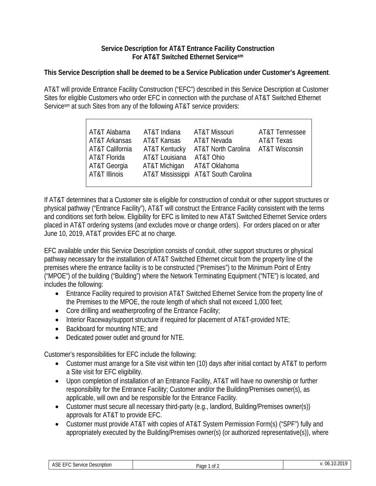## **Service Description for AT&T Entrance Facility Construction For AT&T Switched Ethernet Servicesm**

## **This Service Description shall be deemed to be a Service Publication under Customer's Agreement**.

AT&T will provide Entrance Facility Construction ("EFC") described in this Service Description at Customer Sites for eligible Customers who order EFC in connection with the purchase of AT&T Switched Ethernet Servicesm at such Sites from any of the following AT&T service providers:

| AT&T Alabama    | AT&T Indiana                | AT&T Missouri                        | AT&T Tennessee |
|-----------------|-----------------------------|--------------------------------------|----------------|
| AT&T Arkansas   | AT&T Kansas                 | AT&T Nevada                          | AT&T Texas     |
| AT&T California | AT&T Kentucky               | AT&T North Carolina AT&T Wisconsin   |                |
| AT&T Florida    | AT&T Louisiana              | AT&T Ohio                            |                |
| AT&T Georgia    | AT&T Michigan AT&T Oklahoma |                                      |                |
| AT&T Illinois   |                             | AT&T Mississippi AT&T South Carolina |                |
|                 |                             |                                      |                |

If AT&T determines that a Customer site is eligible for construction of conduit or other support structures or physical pathway ("Entrance Facility"), AT&T will construct the Entrance Facility consistent with the terms and conditions set forth below. Eligibility for EFC is limited to new AT&T Switched Ethernet Service orders placed in AT&T ordering systems (and excludes move or change orders). For orders placed on or after June 10, 2019, AT&T provides EFC at no charge.

EFC available under this Service Description consists of conduit, other support structures or physical pathway necessary for the installation of AT&T Switched Ethernet circuit from the property line of the premises where the entrance facility is to be constructed ("Premises") to the Minimum Point of Entry ("MPOE") of the building ("Building") where the Network Terminating Equipment ("NTE") is located, and includes the following:

- Entrance Facility required to provision AT&T Switched Ethernet Service from the property line of the Premises to the MPOE, the route length of which shall not exceed 1,000 feet;
- Core drilling and weatherproofing of the Entrance Facility;
- Interior Raceway/support structure if required for placement of AT&T-provided NTE;
- Backboard for mounting NTE; and
- Dedicated power outlet and ground for NTE.

Customer's responsibilities for EFC include the following:

- Customer must arrange for a Site visit within ten (10) days after initial contact by AT&T to perform a Site visit for EFC eligibility.
- Upon completion of installation of an Entrance Facility, AT&T will have no ownership or further responsibility for the Entrance Facility; Customer and/or the Building/Premises owner(s), as applicable, will own and be responsible for the Entrance Facility.
- Customer must secure all necessary third-party (e.g., landlord, Building/Premises owner(s)) approvals for AT&T to provide EFC.
- Customer must provide AT&T with copies of AT&T System Permission Form(s) ("SPF") fully and appropriately executed by the Building/Premises owner(s) (or authorized representative(s)), where